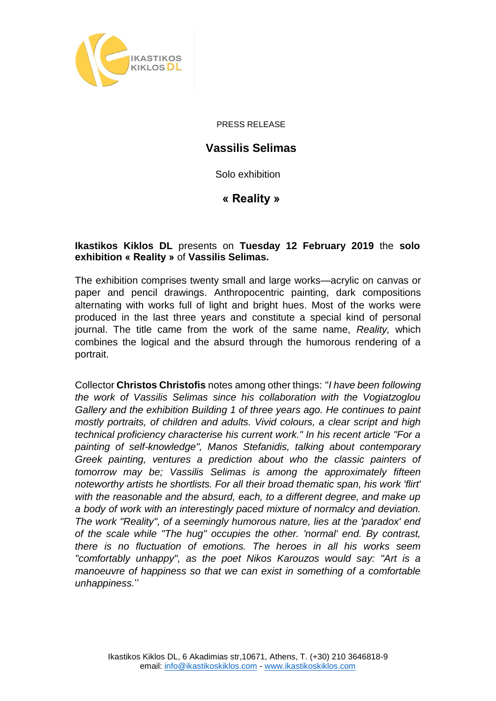

PRESS RELEASE

## **Vassilis Selimas**

Solo exhibition

**« Reality »**

## **Ikastikos Kiklos DL** presents on **Tuesday 12 February 2019** the **solo exhibition « Reality »** of **Vassilis Selimas.**

The exhibition comprises twenty small and large works—acrylic on canvas or paper and pencil drawings. Anthropocentric painting, dark compositions alternating with works full of light and bright hues. Most of the works were produced in the last three years and constitute a special kind of personal journal. The title came from the work of the same name, *Reality,* which combines the logical and the absurd through the humorous rendering of a portrait.

Collector **Christos Christofis** notes among other things: "*I have been following the work of Vassilis Selimas since his collaboration with the Vogiatzoglou Gallery and the exhibition Building 1 of three years ago. He continues to paint mostly portraits, of children and adults. Vivid colours, a clear script and high technical proficiency characterise his current work." In his recent article "For a painting of self-knowledge", Manos Stefanidis, talking about contemporary Greek painting, ventures a prediction about who the classic painters of tomorrow may be; Vassilis Selimas is among the approximately fifteen noteworthy artists he shortlists. For all their broad thematic span, his work 'flirt' with the reasonable and the absurd, each, to a different degree, and make up a body of work with an interestingly paced mixture of normalcy and deviation. The work "Reality", of a seemingly humorous nature, lies at the 'paradox' end of the scale while "The hug" occupies the other. 'normal' end. By contrast, there is no fluctuation of emotions. The heroes in all his works seem "comfortably unhappy", as the poet Nikos Karouzos would say: "Art is a manoeuvre of happiness so that we can exist in something of a comfortable unhappiness.*''